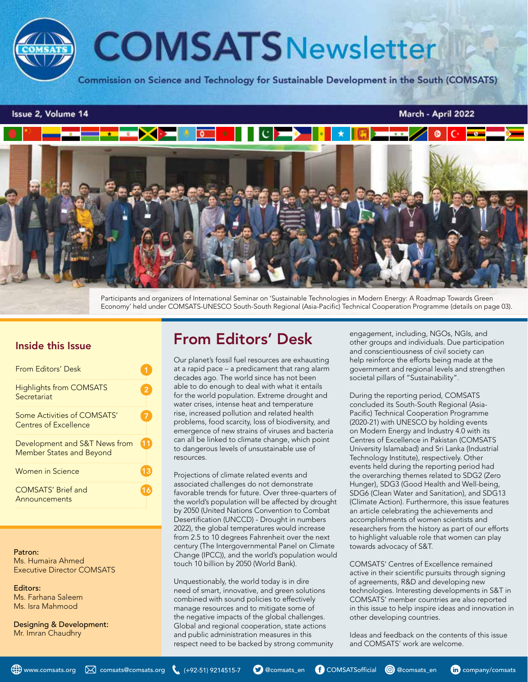

#### Issue 2, Volume 14

#### March - April 2022



Participants and organizers of International Seminar on 'Sustainable Technologies in Modern Energy: A Roadmap Towards Green Economy' held under COMSATS-UNESCO South-South Regional (Asia-Pacific) Technical Cooperation Programme (details on page 03).

### Inside this Issue

| From Editors' Desk                                        |  |
|-----------------------------------------------------------|--|
| <b>Highlights from COMSATS</b><br>Secretariat             |  |
| Some Activities of COMSATS'<br>Centres of Excellence      |  |
| Development and S&T News from<br>Member States and Beyond |  |
| Women in Science                                          |  |
| <b>COMSATS' Brief and</b><br>Announcements                |  |

#### Patron: Ms. Humaira Ahmed Executive Director COMSATS

Editors: Ms. Farhana Saleem Ms. Isra Mahmood

Designing & Development: Mr. Imran Chaudhry

# From Editors' Desk

Our planet's fossil fuel resources are exhausting at a rapid pace – a predicament that rang alarm decades ago. The world since has not been able to do enough to deal with what it entails for the world population. Extreme drought and water crises, intense heat and temperature rise, increased pollution and related health problems, food scarcity, loss of biodiversity, and emergence of new strains of viruses and bacteria can all be linked to climate change, which point to dangerous levels of unsustainable use of resources.

Projections of climate related events and associated challenges do not demonstrate favorable trends for future. Over three-quarters of the world's population will be affected by drought by 2050 (United Nations Convention to Combat Desertification (UNCCD) - Drought in numbers 2022), the global temperatures would increase from 2.5 to 10 degrees Fahrenheit over the next century (The Intergovernmental Panel on Climate Change (IPCC)), and the world's population would touch 10 billion by 2050 (World Bank).

Unquestionably, the world today is in dire need of smart, innovative, and green solutions combined with sound policies to effectively manage resources and to mitigate some of the negative impacts of the global challenges. Global and regional cooperation, state actions and public administration measures in this respect need to be backed by strong community engagement, including, NGOs, NGIs, and other groups and individuals. Due participation and conscientiousness of civil society can help reinforce the efforts being made at the government and regional levels and strengthen societal pillars of "Sustainability".

During the reporting period, COMSATS concluded its South-South Regional (Asia-Pacific) Technical Cooperation Programme (2020-21) with UNESCO by holding events on Modern Energy and Industry 4.0 with its Centres of Excellence in Pakistan (COMSATS University Islamabad) and Sri Lanka (Industrial Technology Institute), respectively. Other events held during the reporting period had the overarching themes related to SDG2 (Zero Hunger), SDG3 (Good Health and Well-being, SDG6 (Clean Water and Sanitation), and SDG13 (Climate Action). Furthermore, this issue features an article celebrating the achievements and accomplishments of women scientists and researchers from the history as part of our efforts to highlight valuable role that women can play towards advocacy of S&T.

COMSATS' Centres of Excellence remained active in their scientific pursuits through signing of agreements, R&D and developing new technologies. Interesting developments in S&T in COMSATS' member countries are also reported in this issue to help inspire ideas and innovation in other developing countries.

Ideas and feedback on the contents of this issue and COMSATS' work are welcome.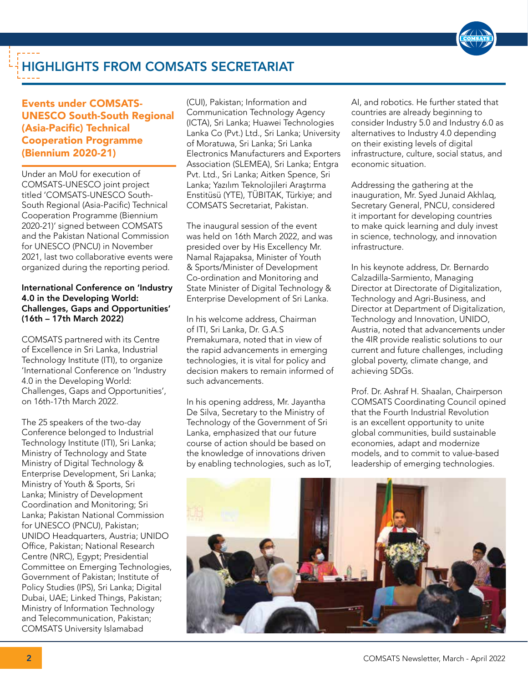

# HIGHLIGHTS FROM COMSATS SECRETARIAT

# Events under COMSATS-UNESCO South-South Regional (Asia-Pacific) Technical Cooperation Programme (Biennium 2020-21)

Under an MoU for execution of COMSATS-UNESCO joint project titled 'COMSATS-UNESCO South-South Regional (Asia-Pacific) Technical Cooperation Programme (Biennium 2020-21)' signed between COMSATS and the Pakistan National Commission for UNESCO (PNCU) in November 2021, last two collaborative events were organized during the reporting period.

#### International Conference on 'Industry 4.0 in the Developing World: Challenges, Gaps and Opportunities' (16th – 17th March 2022)

COMSATS partnered with its Centre of Excellence in Sri Lanka, Industrial Technology Institute (ITI), to organize 'International Conference on 'Industry 4.0 in the Developing World: Challenges, Gaps and Opportunities', on 16th-17th March 2022.

The 25 speakers of the two-day Conference belonged to Industrial Technology Institute (ITI), Sri Lanka; Ministry of Technology and State Ministry of Digital Technology & Enterprise Development, Sri Lanka; Ministry of Youth & Sports, Sri Lanka; Ministry of Development Coordination and Monitoring; Sri Lanka; Pakistan National Commission for UNESCO (PNCU), Pakistan; UNIDO Headquarters, Austria; UNIDO Office, Pakistan; National Research Centre (NRC), Egypt; Presidential Committee on Emerging Technologies, Government of Pakistan; Institute of Policy Studies (IPS), Sri Lanka; Digital Dubai, UAE; Linked Things, Pakistan; Ministry of Information Technology and Telecommunication, Pakistan; COMSATS University Islamabad

(CUI), Pakistan; Information and Communication Technology Agency (ICTA), Sri Lanka; Huawei Technologies Lanka Co (Pvt.) Ltd., Sri Lanka; University of Moratuwa, Sri Lanka; Sri Lanka Electronics Manufacturers and Exporters Association (SLEMEA), Sri Lanka; Entgra Pvt. Ltd., Sri Lanka; Aitken Spence, Sri Lanka; Yazılım Teknolojileri Araştırma Enstitüsü (YTE), TÜBITAK, Türkiye; and COMSATS Secretariat, Pakistan.

The inaugural session of the event was held on 16th March 2022, and was presided over by His Excellency Mr. Namal Rajapaksa, Minister of Youth & Sports/Minister of Development Co-ordination and Monitoring and State Minister of Digital Technology & Enterprise Development of Sri Lanka.

In his welcome address, Chairman of ITI, Sri Lanka, Dr. G.A.S Premakumara, noted that in view of the rapid advancements in emerging technologies, it is vital for policy and decision makers to remain informed of such advancements.

In his opening address, Mr. Jayantha De Silva, Secretary to the Ministry of Technology of the Government of Sri Lanka, emphasized that our future course of action should be based on the knowledge of innovations driven by enabling technologies, such as IoT,

AI, and robotics. He further stated that countries are already beginning to consider Industry 5.0 and Industry 6.0 as alternatives to Industry 4.0 depending on their existing levels of digital infrastructure, culture, social status, and economic situation.

Addressing the gathering at the inauguration, Mr. Syed Junaid Akhlaq, Secretary General, PNCU, considered it important for developing countries to make quick learning and duly invest in science, technology, and innovation infrastructure.

In his keynote address, Dr. Bernardo Calzadilla-Sarmiento, Managing Director at Directorate of Digitalization, Technology and Agri-Business, and Director at Department of Digitalization, Technology and Innovation, UNIDO, Austria, noted that advancements under the 4IR provide realistic solutions to our current and future challenges, including global poverty, climate change, and achieving SDGs.

Prof. Dr. Ashraf H. Shaalan, Chairperson COMSATS Coordinating Council opined that the Fourth Industrial Revolution is an excellent opportunity to unite global communities, build sustainable economies, adapt and modernize models, and to commit to value-based leadership of emerging technologies.

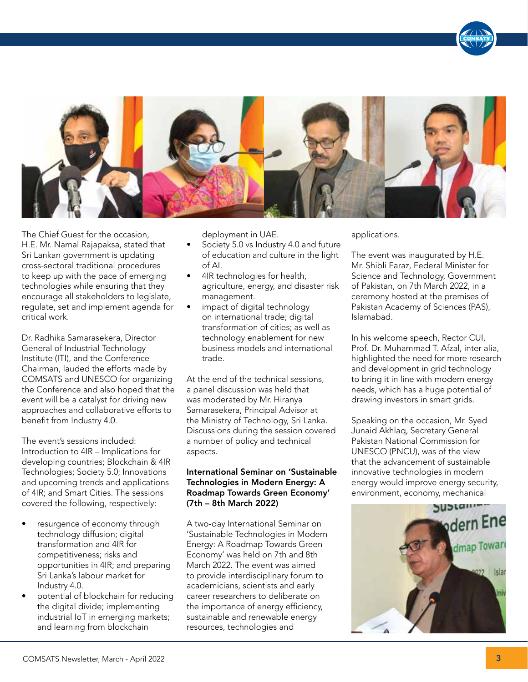

The Chief Guest for the occasion, H.E. Mr. Namal Rajapaksa, stated that Sri Lankan government is updating cross-sectoral traditional procedures to keep up with the pace of emerging technologies while ensuring that they encourage all stakeholders to legislate, regulate, set and implement agenda for critical work.

Dr. Radhika Samarasekera, Director General of Industrial Technology Institute (ITI), and the Conference Chairman, lauded the efforts made by COMSATS and UNESCO for organizing the Conference and also hoped that the event will be a catalyst for driving new approaches and collaborative efforts to benefit from Industry 4.0.

The event's sessions included: Introduction to 4IR – Implications for developing countries; Blockchain & 4IR Technologies; Society 5.0; Innovations and upcoming trends and applications of 4IR; and Smart Cities. The sessions covered the following, respectively:

- resurgence of economy through technology diffusion; digital transformation and 4IR for competitiveness; risks and opportunities in 4IR; and preparing Sri Lanka's labour market for Industry 4.0.
- potential of blockchain for reducing the digital divide; implementing industrial IoT in emerging markets; and learning from blockchain

deployment in UAE.

- Society 5.0 vs Industry 4.0 and future of education and culture in the light of AI.
- 4IR technologies for health, agriculture, energy, and disaster risk management.
- impact of digital technology on international trade; digital transformation of cities; as well as technology enablement for new business models and international trade.

At the end of the technical sessions, a panel discussion was held that was moderated by Mr. Hiranya Samarasekera, Principal Advisor at the Ministry of Technology, Sri Lanka. Discussions during the session covered a number of policy and technical aspects.

#### International Seminar on 'Sustainable Technologies in Modern Energy: A Roadmap Towards Green Economy' (7th – 8th March 2022)

A two-day International Seminar on 'Sustainable Technologies in Modern Energy: A Roadmap Towards Green Economy' was held on 7th and 8th March 2022. The event was aimed to provide interdisciplinary forum to academicians, scientists and early career researchers to deliberate on the importance of energy efficiency, sustainable and renewable energy resources, technologies and

applications.

The event was inaugurated by H.E. Mr. Shibli Faraz, Federal Minister for Science and Technology, Government of Pakistan, on 7th March 2022, in a ceremony hosted at the premises of Pakistan Academy of Sciences (PAS), Islamabad.

In his welcome speech, Rector CUI, Prof. Dr. Muhammad T. Afzal, inter alia, highlighted the need for more research and development in grid technology to bring it in line with modern energy needs, which has a huge potential of drawing investors in smart grids.

Speaking on the occasion, Mr. Syed Junaid Akhlaq, Secretary General Pakistan National Commission for UNESCO (PNCU), was of the view that the advancement of sustainable innovative technologies in modern energy would improve energy security, environment, economy, mechanical

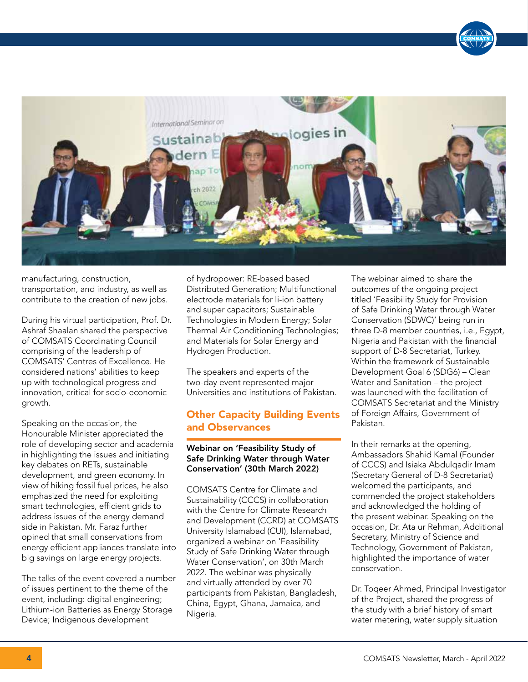

manufacturing, construction, transportation, and industry, as well as contribute to the creation of new jobs.

During his virtual participation, Prof. Dr. Ashraf Shaalan shared the perspective of COMSATS Coordinating Council comprising of the leadership of COMSATS' Centres of Excellence. He considered nations' abilities to keep up with technological progress and innovation, critical for socio-economic growth.

Speaking on the occasion, the Honourable Minister appreciated the role of developing sector and academia in highlighting the issues and initiating key debates on RETs, sustainable development, and green economy. In view of hiking fossil fuel prices, he also emphasized the need for exploiting smart technologies, efficient grids to address issues of the energy demand side in Pakistan. Mr. Faraz further opined that small conservations from energy efficient appliances translate into big savings on large energy projects.

The talks of the event covered a number of issues pertinent to the theme of the event, including: digital engineering; Lithium-ion Batteries as Energy Storage Device; Indigenous development

of hydropower: RE-based based Distributed Generation; Multifunctional electrode materials for li-ion battery and super capacitors; Sustainable Technologies in Modern Energy; Solar Thermal Air Conditioning Technologies; and Materials for Solar Energy and Hydrogen Production.

The speakers and experts of the two-day event represented major Universities and institutions of Pakistan.

## Other Capacity Building Events and Observances

#### Webinar on 'Feasibility Study of Safe Drinking Water through Water Conservation' (30th March 2022)

COMSATS Centre for Climate and Sustainability (CCCS) in collaboration with the Centre for Climate Research and Development (CCRD) at COMSATS University Islamabad (CUI), Islamabad, organized a webinar on 'Feasibility Study of Safe Drinking Water through Water Conservation', on 30th March 2022. The webinar was physically and virtually attended by over 70 participants from Pakistan, Bangladesh, China, Egypt, Ghana, Jamaica, and Nigeria.

The webinar aimed to share the outcomes of the ongoing project titled 'Feasibility Study for Provision of Safe Drinking Water through Water Conservation (SDWC)' being run in three D-8 member countries, i.e., Egypt, Nigeria and Pakistan with the financial support of D-8 Secretariat, Turkey. Within the framework of Sustainable Development Goal 6 (SDG6) – Clean Water and Sanitation – the project was launched with the facilitation of COMSATS Secretariat and the Ministry of Foreign Affairs, Government of Pakistan.

In their remarks at the opening, Ambassadors Shahid Kamal (Founder of CCCS) and Isiaka Abdulqadir Imam (Secretary General of D-8 Secretariat) welcomed the participants, and commended the project stakeholders and acknowledged the holding of the present webinar. Speaking on the occasion, Dr. Ata ur Rehman, Additional Secretary, Ministry of Science and Technology, Government of Pakistan, highlighted the importance of water conservation.

Dr. Toqeer Ahmed, Principal Investigator of the Project, shared the progress of the study with a brief history of smart water metering, water supply situation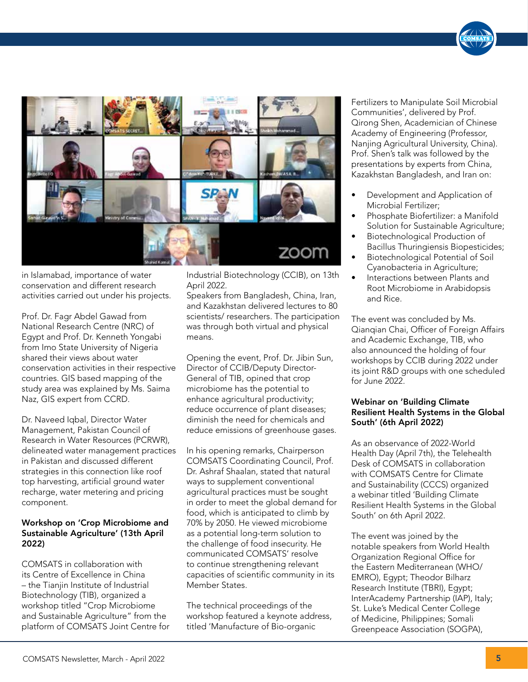

in Islamabad, importance of water conservation and different research activities carried out under his projects.

Prof. Dr. Fagr Abdel Gawad from National Research Centre (NRC) of Egypt and Prof. Dr. Kenneth Yongabi from Imo State University of Nigeria shared their views about water conservation activities in their respective countries. GIS based mapping of the study area was explained by Ms. Saima Naz, GIS expert from CCRD.

Dr. Naveed Iqbal, Director Water Management, Pakistan Council of Research in Water Resources (PCRWR), delineated water management practices in Pakistan and discussed different strategies in this connection like roof top harvesting, artificial ground water recharge, water metering and pricing component.

#### Workshop on 'Crop Microbiome and Sustainable Agriculture' (13th April 2022)

COMSATS in collaboration with its Centre of Excellence in China – the Tianjin Institute of Industrial Biotechnology (TIB), organized a workshop titled "Crop Microbiome and Sustainable Agriculture" from the platform of COMSATS Joint Centre for Industrial Biotechnology (CCIB), on 13th April 2022.

Speakers from Bangladesh, China, Iran, and Kazakhstan delivered lectures to 80 scientists/ researchers. The participation was through both virtual and physical means.

Opening the event, Prof. Dr. Jibin Sun, Director of CCIB/Deputy Director-General of TIB, opined that crop microbiome has the potential to enhance agricultural productivity; reduce occurrence of plant diseases; diminish the need for chemicals and reduce emissions of greenhouse gases.

In his opening remarks, Chairperson COMSATS Coordinating Council, Prof. Dr. Ashraf Shaalan, stated that natural ways to supplement conventional agricultural practices must be sought in order to meet the global demand for food, which is anticipated to climb by 70% by 2050. He viewed microbiome as a potential long-term solution to the challenge of food insecurity. He communicated COMSATS' resolve to continue strengthening relevant capacities of scientific community in its Member States.

The technical proceedings of the workshop featured a keynote address, titled 'Manufacture of Bio-organic

Fertilizers to Manipulate Soil Microbial Communities', delivered by Prof. Qirong Shen, Academician of Chinese Academy of Engineering (Professor, Nanjing Agricultural University, China). Prof. Shen's talk was followed by the presentations by experts from China, Kazakhstan Bangladesh, and Iran on:

- Development and Application of Microbial Fertilizer;
- Phosphate Biofertilizer: a Manifold Solution for Sustainable Agriculture;
- Biotechnological Production of Bacillus Thuringiensis Biopesticides;
- Biotechnological Potential of Soil Cyanobacteria in Agriculture;
- Interactions between Plants and Root Microbiome in Arabidopsis and Rice.

The event was concluded by Ms. Qianqian Chai, Officer of Foreign Affairs and Academic Exchange, TIB, who also announced the holding of four workshops by CCIB during 2022 under its joint R&D groups with one scheduled for June 2022.

#### Webinar on 'Building Climate Resilient Health Systems in the Global South' (6th April 2022)

As an observance of 2022-World Health Day (April 7th), the Telehealth Desk of COMSATS in collaboration with COMSATS Centre for Climate and Sustainability (CCCS) organized a webinar titled 'Building Climate Resilient Health Systems in the Global South' on 6th April 2022.

The event was joined by the notable speakers from World Health Organization Regional Office for the Eastern Mediterranean (WHO/ EMRO), Egypt; Theodor Bilharz Research Institute (TBRI), Egypt; InterAcademy Partnership (IAP), Italy; St. Luke's Medical Center College of Medicine, Philippines; Somali Greenpeace Association (SOGPA),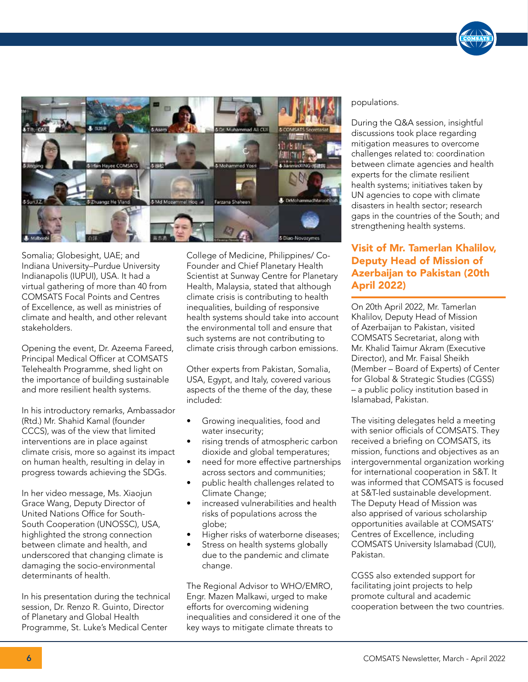

Somalia; Globesight, UAE; and Indiana University–Purdue University Indianapolis (IUPUI), USA. It had a virtual gathering of more than 40 from COMSATS Focal Points and Centres of Excellence, as well as ministries of climate and health, and other relevant stakeholders.

Opening the event, Dr. Azeema Fareed, Principal Medical Officer at COMSATS Telehealth Programme, shed light on the importance of building sustainable and more resilient health systems.

In his introductory remarks, Ambassador (Rtd.) Mr. Shahid Kamal (founder CCCS), was of the view that limited interventions are in place against climate crisis, more so against its impact on human health, resulting in delay in progress towards achieving the SDGs.

In her video message, Ms. Xiaojun Grace Wang, Deputy Director of United Nations Office for South-South Cooperation (UNOSSC), USA, highlighted the strong connection between climate and health, and underscored that changing climate is damaging the socio-environmental determinants of health.

In his presentation during the technical session, Dr. Renzo R. Guinto, Director of Planetary and Global Health Programme, St. Luke's Medical Center

College of Medicine, Philippines/ Co-Founder and Chief Planetary Health Scientist at Sunway Centre for Planetary Health, Malaysia, stated that although climate crisis is contributing to health inequalities, building of responsive health systems should take into account the environmental toll and ensure that such systems are not contributing to climate crisis through carbon emissions.

Other experts from Pakistan, Somalia, USA, Egypt, and Italy, covered various aspects of the theme of the day, these included:

- Growing inequalities, food and water insecurity;
- rising trends of atmospheric carbon dioxide and global temperatures;
- need for more effective partnerships across sectors and communities;
- public health challenges related to Climate Change;
- increased vulnerabilities and health risks of populations across the globe;
- Higher risks of waterborne diseases;
- Stress on health systems globally due to the pandemic and climate change.

The Regional Advisor to WHO/EMRO, Engr. Mazen Malkawi, urged to make efforts for overcoming widening inequalities and considered it one of the key ways to mitigate climate threats to

#### populations.

During the Q&A session, insightful discussions took place regarding mitigation measures to overcome challenges related to: coordination between climate agencies and health experts for the climate resilient health systems; initiatives taken by UN agencies to cope with climate disasters in health sector; research gaps in the countries of the South; and strengthening health systems.

# Visit of Mr. Tamerlan Khalilov, Deputy Head of Mission of Azerbaijan to Pakistan (20th April 2022)

On 20th April 2022, Mr. Tamerlan Khalilov, Deputy Head of Mission of Azerbaijan to Pakistan, visited COMSATS Secretariat, along with Mr. Khalid Taimur Akram (Executive Director), and Mr. Faisal Sheikh (Member – Board of Experts) of Center for Global & Strategic Studies (CGSS) – a public policy institution based in Islamabad, Pakistan.

The visiting delegates held a meeting with senior officials of COMSATS. They received a briefing on COMSATS, its mission, functions and objectives as an intergovernmental organization working for international cooperation in S&T. It was informed that COMSATS is focused at S&T-led sustainable development. The Deputy Head of Mission was also apprised of various scholarship opportunities available at COMSATS' Centres of Excellence, including COMSATS University Islamabad (CUI), Pakistan.

CGSS also extended support for facilitating joint projects to help promote cultural and academic cooperation between the two countries.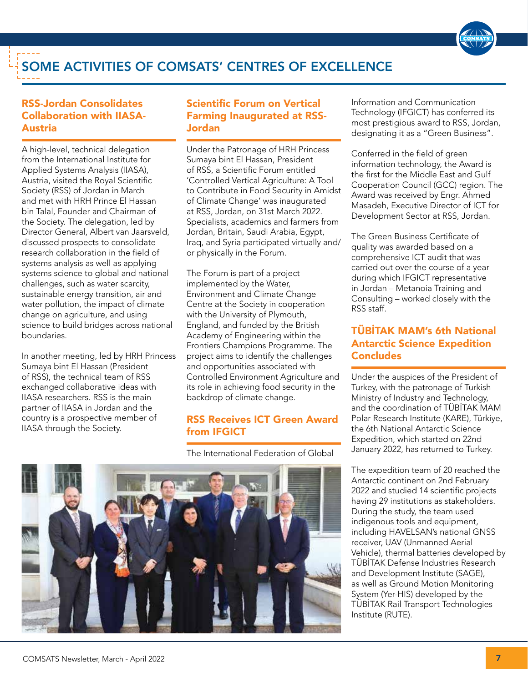

# SOME ACTIVITIES OF COMSATS' CENTRES OF EXCELLENCE

# RSS-Jordan Consolidates Collaboration with IIASA-Austria

A high-level, technical delegation from the International Institute for Applied Systems Analysis (IIASA), Austria, visited the Royal Scientific Society (RSS) of Jordan in March and met with HRH Prince El Hassan bin Talal, Founder and Chairman of the Society. The delegation, led by Director General, Albert van Jaarsveld, discussed prospects to consolidate research collaboration in the field of systems analysis as well as applying systems science to global and national challenges, such as water scarcity, sustainable energy transition, air and water pollution, the impact of climate change on agriculture, and using science to build bridges across national boundaries.

In another meeting, led by HRH Princess Sumaya bint El Hassan (President of RSS), the technical team of RSS exchanged collaborative ideas with IIASA researchers. RSS is the main partner of IIASA in Jordan and the country is a prospective member of IIASA through the Society.

## Scientific Forum on Vertical Farming Inaugurated at RSS-Jordan

Under the Patronage of HRH Princess Sumaya bint El Hassan, President of RSS, a Scientific Forum entitled 'Controlled Vertical Agriculture: A Tool to Contribute in Food Security in Amidst of Climate Change' was inaugurated at RSS, Jordan, on 31st March 2022. Specialists, academics and farmers from Jordan, Britain, Saudi Arabia, Egypt, Iraq, and Syria participated virtually and/ or physically in the Forum.

The Forum is part of a project implemented by the Water, Environment and Climate Change Centre at the Society in cooperation with the University of Plymouth, England, and funded by the British Academy of Engineering within the Frontiers Champions Programme. The project aims to identify the challenges and opportunities associated with Controlled Environment Agriculture and its role in achieving food security in the backdrop of climate change.

### RSS Receives ICT Green Award from IFGICT

The International Federation of Global



Information and Communication Technology (IFGICT) has conferred its most prestigious award to RSS, Jordan, designating it as a "Green Business".

Conferred in the field of green information technology, the Award is the first for the Middle East and Gulf Cooperation Council (GCC) region. The Award was received by Engr. Ahmed Masadeh, Executive Director of ICT for Development Sector at RSS, Jordan.

The Green Business Certificate of quality was awarded based on a comprehensive ICT audit that was carried out over the course of a year during which IFGICT representative in Jordan – Metanoia Training and Consulting – worked closely with the RSS staff.

# TÜBİTAK MAM's 6th National Antarctic Science Expedition **Concludes**

Under the auspices of the President of Turkey, with the patronage of Turkish Ministry of Industry and Technology, and the coordination of TÜBİTAK MAM Polar Research Institute (KARE), Türkiye, the 6th National Antarctic Science Expedition, which started on 22nd January 2022, has returned to Turkey.

The expedition team of 20 reached the Antarctic continent on 2nd February 2022 and studied 14 scientific projects having 29 institutions as stakeholders. During the study, the team used indigenous tools and equipment, including HAVELSAN's national GNSS receiver, UAV (Unmanned Aerial Vehicle), thermal batteries developed by TÜBİTAK Defense Industries Research and Development Institute (SAGE), as well as Ground Motion Monitoring System (Yer-HIS) developed by the TÜBİTAK Rail Transport Technologies Institute (RUTE).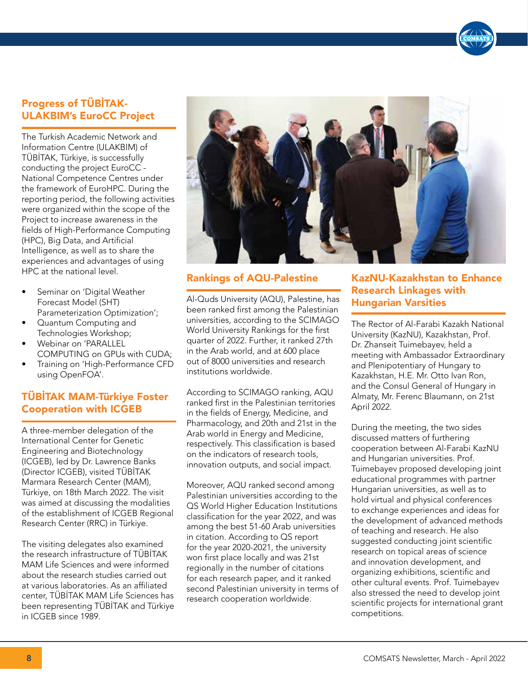# Progress of TÜBİTAK-ULAKBIM's EuroCC Project

The Turkish Academic Network and Information Centre (ULAKBIM) of TÜBİTAK, Türkiye, is successfully conducting the project EuroCC - National Competence Centres under the framework of EuroHPC. During the reporting period, the following activities were organized within the scope of the Project to increase awareness in the fields of High-Performance Computing (HPC), Big Data, and Artificial Intelligence, as well as to share the experiences and advantages of using HPC at the national level.

- Seminar on 'Digital Weather Forecast Model (SHT) Parameterization Optimization';
- Quantum Computing and Technologies Workshop;
- Webinar on 'PARALLEL COMPUTING on GPUs with CUDA;
- Training on 'High-Performance CFD using OpenFOA'.

# TÜBİTAK MAM-Türkiye Foster Cooperation with ICGEB

A three-member delegation of the International Center for Genetic Engineering and Biotechnology (ICGEB), led by Dr. Lawrence Banks (Director ICGEB), visited TÜBİTAK Marmara Research Center (MAM), Türkiye, on 18th March 2022. The visit was aimed at discussing the modalities of the establishment of ICGEB Regional Research Center (RRC) in Türkiye.

The visiting delegates also examined the research infrastructure of TÜBİTAK MAM Life Sciences and were informed about the research studies carried out at various laboratories. As an affiliated center, TÜBİTAK MAM Life Sciences has been representing TÜBİTAK and Türkiye in ICGEB since 1989.



#### Rankings of AQU-Palestine

Al-Quds University (AQU), Palestine, has been ranked first among the Palestinian universities, according to the SCIMAGO World University Rankings for the first quarter of 2022. Further, it ranked 27th in the Arab world, and at 600 place out of 8000 universities and research institutions worldwide.

According to SCIMAGO ranking, AQU ranked first in the Palestinian territories in the fields of Energy, Medicine, and Pharmacology, and 20th and 21st in the Arab world in Energy and Medicine, respectively. This classification is based on the indicators of research tools, innovation outputs, and social impact.

Moreover, AQU ranked second among Palestinian universities according to the QS World Higher Education Institutions classification for the year 2022, and was among the best 51-60 Arab universities in citation. According to QS report for the year 2020-2021, the university won first place locally and was 21st regionally in the number of citations for each research paper, and it ranked second Palestinian university in terms of research cooperation worldwide.

## KazNU-Kazakhstan to Enhance Research Linkages with Hungarian Varsities

The Rector of Al-Farabi Kazakh National University (KazNU), Kazakhstan, Prof. Dr. Zhanseit Tuimebayev, held a meeting with Ambassador Extraordinary and Plenipotentiary of Hungary to Kazakhstan, H.E. Mr. Otto Ivan Ron, and the Consul General of Hungary in Almaty, Mr. Ferenc Blaumann, on 21st April 2022.

During the meeting, the two sides discussed matters of furthering cooperation between Al-Farabi KazNU and Hungarian universities. Prof. Tuimebayev proposed developing joint educational programmes with partner Hungarian universities, as well as to hold virtual and physical conferences to exchange experiences and ideas for the development of advanced methods of teaching and research. He also suggested conducting joint scientific research on topical areas of science and innovation development, and organizing exhibitions, scientific and other cultural events. Prof. Tuimebayev also stressed the need to develop joint scientific projects for international grant competitions.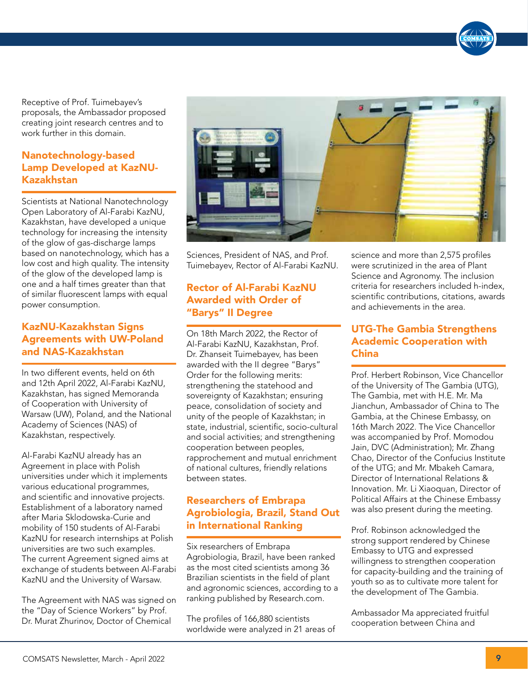Receptive of Prof. Tuimebayev's proposals, the Ambassador proposed creating joint research centres and to work further in this domain.

## Nanotechnology-based Lamp Developed at KazNU-Kazakhstan

Scientists at National Nanotechnology Open Laboratory of Al-Farabi KazNU, Kazakhstan, have developed a unique technology for increasing the intensity of the glow of gas-discharge lamps based on nanotechnology, which has a low cost and high quality. The intensity of the glow of the developed lamp is one and a half times greater than that of similar fluorescent lamps with equal power consumption.

## KazNU-Kazakhstan Signs Agreements with UW-Poland and NAS-Kazakhstan

In two different events, held on 6th and 12th April 2022, Al-Farabi KazNU, Kazakhstan, has signed Memoranda of Cooperation with University of Warsaw (UW), Poland, and the National Academy of Sciences (NAS) of Kazakhstan, respectively.

Al-Farabi KazNU already has an Agreement in place with Polish universities under which it implements various educational programmes, and scientific and innovative projects. Establishment of a laboratory named after Maria Sklodowska-Curie and mobility of 150 students of Al-Farabi KazNU for research internships at Polish universities are two such examples. The current Agreement signed aims at exchange of students between Al-Farabi KazNU and the University of Warsaw.

The Agreement with NAS was signed on the "Day of Science Workers" by Prof. Dr. Murat Zhurinov, Doctor of Chemical



Sciences, President of NAS, and Prof. Tuimebayev, Rector of Al-Farabi KazNU.

# Rector of Al-Farabi KazNU Awarded with Order of "Barys" II Degree

On 18th March 2022, the Rector of Al-Farabi KazNU, Kazakhstan, Prof. Dr. Zhanseit Tuimebayev, has been awarded with the II degree "Barys" Order for the following merits: strengthening the statehood and sovereignty of Kazakhstan; ensuring peace, consolidation of society and unity of the people of Kazakhstan; in state, industrial, scientific, socio-cultural and social activities; and strengthening cooperation between peoples, rapprochement and mutual enrichment of national cultures, friendly relations between states.

# Researchers of Embrapa Agrobiologia, Brazil, Stand Out in International Ranking

Six researchers of Embrapa Agrobiologia, Brazil, have been ranked as the most cited scientists among 36 Brazilian scientists in the field of plant and agronomic sciences, according to a ranking published by Research.com.

The profiles of 166,880 scientists worldwide were analyzed in 21 areas of

science and more than 2,575 profiles were scrutinized in the area of Plant Science and Agronomy. The inclusion criteria for researchers included h-index, scientific contributions, citations, awards and achievements in the area.

# UTG-The Gambia Strengthens Academic Cooperation with China

Prof. Herbert Robinson, Vice Chancellor of the University of The Gambia (UTG), The Gambia, met with H.E. Mr. Ma Jianchun, Ambassador of China to The Gambia, at the Chinese Embassy, on 16th March 2022. The Vice Chancellor was accompanied by Prof. Momodou Jain, DVC (Administration); Mr. Zhang Chao, Director of the Confucius Institute of the UTG; and Mr. Mbakeh Camara, Director of International Relations & Innovation. Mr. Li Xiaoquan, Director of Political Affairs at the Chinese Embassy was also present during the meeting.

Prof. Robinson acknowledged the strong support rendered by Chinese Embassy to UTG and expressed willingness to strengthen cooperation for capacity-building and the training of youth so as to cultivate more talent for the development of The Gambia.

Ambassador Ma appreciated fruitful cooperation between China and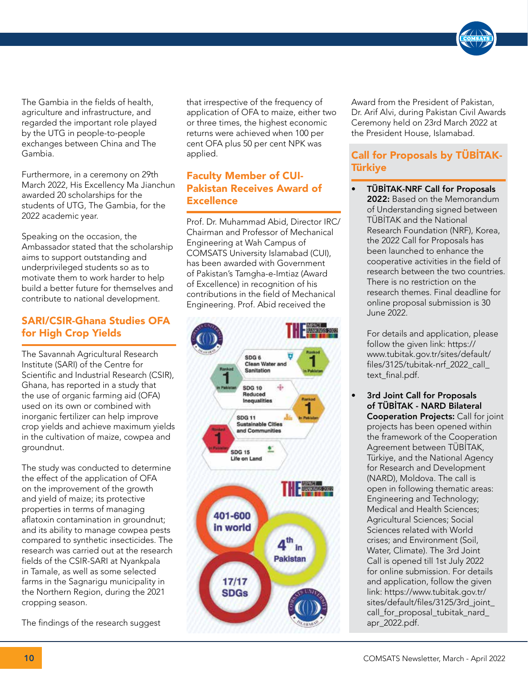

The Gambia in the fields of health, agriculture and infrastructure, and regarded the important role played by the UTG in people-to-people exchanges between China and The Gambia.

Furthermore, in a ceremony on 29th March 2022, His Excellency Ma Jianchun awarded 20 scholarships for the students of UTG, The Gambia, for the 2022 academic year.

Speaking on the occasion, the Ambassador stated that the scholarship aims to support outstanding and underprivileged students so as to motivate them to work harder to help build a better future for themselves and contribute to national development.

# SARI/CSIR-Ghana Studies OFA for High Crop Yields

The Savannah Agricultural Research Institute (SARI) of the Centre for Scientific and Industrial Research (CSIR), Ghana, has reported in a study that the use of organic farming aid (OFA) used on its own or combined with inorganic fertilizer can help improve crop yields and achieve maximum yields in the cultivation of maize, cowpea and groundnut.

The study was conducted to determine the effect of the application of OFA on the improvement of the growth and yield of maize; its protective properties in terms of managing aflatoxin contamination in groundnut; and its ability to manage cowpea pests compared to synthetic insecticides. The research was carried out at the research fields of the CSIR-SARI at Nyankpala in Tamale, as well as some selected farms in the Sagnarigu municipality in the Northern Region, during the 2021 cropping season.

The findings of the research suggest

that irrespective of the frequency of application of OFA to maize, either two or three times, the highest economic returns were achieved when 100 per cent OFA plus 50 per cent NPK was applied.

# Faculty Member of CUI-Pakistan Receives Award of **Excellence**

Prof. Dr. Muhammad Abid, Director IRC/ Chairman and Professor of Mechanical Engineering at Wah Campus of COMSATS University Islamabad (CUI), has been awarded with Government of Pakistan's Tamgha-e-Imtiaz (Award of Excellence) in recognition of his contributions in the field of Mechanical Engineering. Prof. Abid received the



Award from the President of Pakistan, Dr. Arif Alvi, during Pakistan Civil Awards Ceremony held on 23rd March 2022 at the President House, Islamabad.

# Call for Proposals by TÜBİTAK-Türkiye

• TÜBİTAK-NRF Call for Proposals 2022: Based on the Memorandum of Understanding signed between TÜBİTAK and the National Research Foundation (NRF), Korea, the 2022 Call for Proposals has been launched to enhance the cooperative activities in the field of research between the two countries. There is no restriction on the research themes. Final deadline for online proposal submission is 30 June 2022.

For details and application, please follow the given link: https:// www.tubitak.gov.tr/sites/default/ files/3125/tubitak-nrf\_2022\_call\_ text\_final.pdf.

3rd Joint Call for Proposals of TÜBİTAK - NARD Bilateral **Cooperation Projects: Call for joint** projects has been opened within the framework of the Cooperation Agreement between TÜBİTAK, Türkiye, and the National Agency for Research and Development (NARD), Moldova. The call is open in following thematic areas: Engineering and Technology; Medical and Health Sciences; Agricultural Sciences; Social Sciences related with World crises; and Environment (Soil, Water, Climate). The 3rd Joint Call is opened till 1st July 2022 for online submission. For details and application, follow the given link: https://www.tubitak.gov.tr/ sites/default/files/3125/3rd\_joint\_ call for proposal tubitak nard apr 2022.pdf.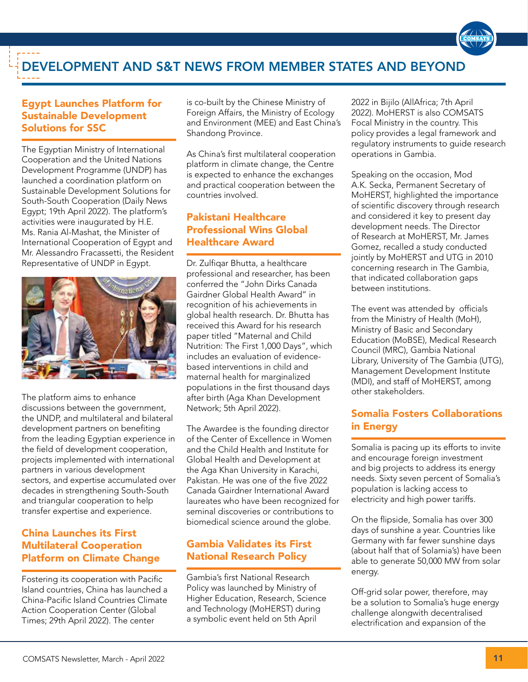# DEVELOPMENT AND S&T NEWS FROM MEMBER STATES AND BEYOND

## Egypt Launches Platform for Sustainable Development Solutions for SSC

The Egyptian Ministry of International Cooperation and the United Nations Development Programme (UNDP) has launched a coordination platform on Sustainable Development Solutions for South-South Cooperation (Daily News Egypt; 19th April 2022). The platform's activities were inaugurated by H.E. Ms. Rania Al-Mashat, the Minister of International Cooperation of Egypt and Mr. Alessandro Fracassetti, the Resident Representative of UNDP in Egypt.



The platform aims to enhance discussions between the government, the UNDP, and multilateral and bilateral development partners on benefiting from the leading Egyptian experience in the field of development cooperation, projects implemented with international partners in various development sectors, and expertise accumulated over decades in strengthening South-South and triangular cooperation to help transfer expertise and experience.

# China Launches its First Multilateral Cooperation Platform on Climate Change

Fostering its cooperation with Pacific Island countries, China has launched a China-Pacific Island Countries Climate Action Cooperation Center (Global Times; 29th April 2022). The center

is co-built by the Chinese Ministry of Foreign Affairs, the Ministry of Ecology and Environment (MEE) and East China's Shandong Province.

As China's first multilateral cooperation platform in climate change, the Centre is expected to enhance the exchanges and practical cooperation between the countries involved.

# Pakistani Healthcare Professional Wins Global Healthcare Award

Dr. Zulfiqar Bhutta, a healthcare professional and researcher, has been conferred the "John Dirks Canada Gairdner Global Health Award" in recognition of his achievements in global health research. Dr. Bhutta has received this Award for his research paper titled "Maternal and Child Nutrition: The First 1,000 Days", which includes an evaluation of evidencebased interventions in child and maternal health for marginalized populations in the first thousand days after birth (Aga Khan Development Network; 5th April 2022).

The Awardee is the founding director of the Center of Excellence in Women and the Child Health and Institute for Global Health and Development at the Aga Khan University in Karachi, Pakistan. He was one of the five 2022 Canada Gairdner International Award laureates who have been recognized for seminal discoveries or contributions to biomedical science around the globe.

# Gambia Validates its First National Research Policy

Gambia's first National Research Policy was launched by Ministry of Higher Education, Research, Science and Technology (MoHERST) during a symbolic event held on 5th April

2022 in Bijilo (AllAfrica; 7th April 2022). MoHERST is also COMSATS Focal Ministry in the country. This policy provides a legal framework and regulatory instruments to guide research operations in Gambia.

Speaking on the occasion, Mod A.K. Secka, Permanent Secretary of MoHERST, highlighted the importance of scientific discovery through research and considered it key to present day development needs. The Director of Research at MoHERST, Mr. James Gomez, recalled a study conducted jointly by MoHERST and UTG in 2010 concerning research in The Gambia, that indicated collaboration gaps between institutions.

The event was attended by officials from the Ministry of Health (MoH), Ministry of Basic and Secondary Education (MoBSE), Medical Research Council (MRC), Gambia National Library, University of The Gambia (UTG), Management Development Institute (MDI), and staff of MoHERST, among other stakeholders.

# Somalia Fosters Collaborations in Energy

Somalia is pacing up its efforts to invite and encourage foreign investment and big projects to address its energy needs. Sixty seven percent of Somalia's population is lacking access to electricity and high power tariffs.

On the flipside, Somalia has over 300 days of sunshine a year. Countries like Germany with far fewer sunshine days (about half that of Solamia's) have been able to generate 50,000 MW from solar energy.

Off-grid solar power, therefore, may be a solution to Somalia's huge energy challenge alongwith decentralised electrification and expansion of the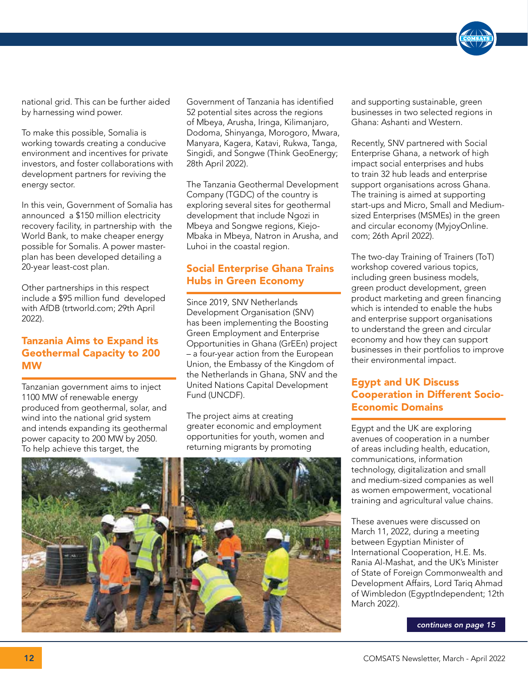national grid. This can be further aided by harnessing wind power.

To make this possible, Somalia is working towards creating a conducive environment and incentives for private investors, and foster collaborations with development partners for reviving the energy sector.

In this vein, Government of Somalia has announced a \$150 million electricity recovery facility, in partnership with the World Bank, to make cheaper energy possible for Somalis. A power masterplan has been developed detailing a 20-year least-cost plan.

Other partnerships in this respect include a \$95 million fund developed with AfDB (trtworld.com; 29th April 2022).

## Tanzania Aims to Expand its Geothermal Capacity to 200 MW

Tanzanian government aims to inject 1100 MW of renewable energy produced from geothermal, solar, and wind into the national grid system and intends expanding its geothermal power capacity to 200 MW by 2050. To help achieve this target, the

Government of Tanzania has identified 52 potential sites across the regions of Mbeya, Arusha, Iringa, Kilimanjaro, Dodoma, Shinyanga, Morogoro, Mwara, Manyara, Kagera, Katavi, Rukwa, Tanga, Singidi, and Songwe (Think GeoEnergy; 28th April 2022).

The Tanzania Geothermal Development Company (TGDC) of the country is exploring several sites for geothermal development that include Ngozi in Mbeya and Songwe regions, Kiejo-Mbaka in Mbeya, Natron in Arusha, and Luhoi in the coastal region.

# Social Enterprise Ghana Trains Hubs in Green Economy

Since 2019, SNV Netherlands Development Organisation (SNV) has been implementing the Boosting Green Employment and Enterprise Opportunities in Ghana (GrEEn) project – a four-year action from the European Union, the Embassy of the Kingdom of the Netherlands in Ghana, SNV and the United Nations Capital Development Fund (UNCDF).

The project aims at creating greater economic and employment opportunities for youth, women and returning migrants by promoting



and supporting sustainable, green businesses in two selected regions in Ghana: Ashanti and Western.

Recently, SNV partnered with Social Enterprise Ghana, a network of high impact social enterprises and hubs to train 32 hub leads and enterprise support organisations across Ghana. The training is aimed at supporting start-ups and Micro, Small and Mediumsized Enterprises (MSMEs) in the green and circular economy (MyjoyOnline. com; 26th April 2022).

The two-day Training of Trainers (ToT) workshop covered various topics, including green business models, green product development, green product marketing and green financing which is intended to enable the hubs and enterprise support organisations to understand the green and circular economy and how they can support businesses in their portfolios to improve their environmental impact.

## Egypt and UK Discuss Cooperation in Different Socio-Economic Domains

Egypt and the UK are exploring avenues of cooperation in a number of areas including health, education, communications, information technology, digitalization and small and medium-sized companies as well as women empowerment, vocational training and agricultural value chains.

These avenues were discussed on March 11, 2022, during a meeting between Egyptian Minister of International Cooperation, H.E. Ms. Rania Al-Mashat, and the UK's Minister of State of Foreign Commonwealth and Development Affairs, Lord Tariq Ahmad of Wimbledon (EgyptIndependent; 12th March 2022).

*continues on page 15*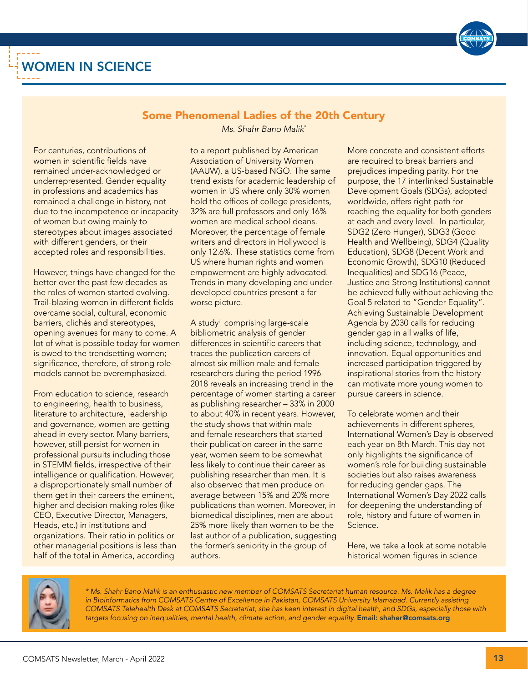

# WOMEN IN SCIENCE

### Some Phenomenal Ladies of the 20th Century *Ms. Shahr Bano Malik\**

For centuries, contributions of women in scientific fields have remained under-acknowledged or underrepresented. Gender equality in professions and academics has remained a challenge in history, not due to the incompetence or incapacity of women but owing mainly to stereotypes about images associated with different genders, or their accepted roles and responsibilities.

However, things have changed for the better over the past few decades as the roles of women started evolving. Trail-blazing women in different fields overcame social, cultural, economic barriers, clichés and stereotypes, opening avenues for many to come. A lot of what is possible today for women is owed to the trendsetting women; significance, therefore, of strong rolemodels cannot be overemphasized.

From education to science, research to engineering, health to business, literature to architecture, leadership and governance, women are getting ahead in every sector. Many barriers, however, still persist for women in professional pursuits including those in STEMM fields, irrespective of their intelligence or qualification. However, a disproportionately small number of them get in their careers the eminent, higher and decision making roles (like CEO, Executive Director, Managers, Heads, etc.) in institutions and organizations. Their ratio in politics or other managerial positions is less than half of the total in America, according

to a report published by American Association of University Women (AAUW), a US-based NGO. The same trend exists for academic leadership of women in US where only 30% women hold the offices of college presidents, 32% are full professors and only 16% women are medical school deans. Moreover, the percentage of female writers and directors in Hollywood is only 12.6%. These statistics come from US where human rights and women empowerment are highly advocated. Trends in many developing and underdeveloped countries present a far worse picture.

A studyi comprising large-scale bibliometric analysis of gender differences in scientific careers that traces the publication careers of almost six million male and female researchers during the period 1996- 2018 reveals an increasing trend in the percentage of women starting a career as publishing researcher – 33% in 2000 to about 40% in recent years. However, the study shows that within male and female researchers that started their publication career in the same year, women seem to be somewhat less likely to continue their career as publishing researcher than men. It is also observed that men produce on average between 15% and 20% more publications than women. Moreover, in biomedical disciplines, men are about 25% more likely than women to be the last author of a publication, suggesting the former's seniority in the group of authors.

More concrete and consistent efforts are required to break barriers and prejudices impeding parity. For the purpose, the 17 interlinked Sustainable Development Goals (SDGs), adopted worldwide, offers right path for reaching the equality for both genders at each and every level. In particular, SDG2 (Zero Hunger), SDG3 (Good Health and Wellbeing), SDG4 (Quality Education), SDG8 (Decent Work and Economic Growth), SDG10 (Reduced Inequalities) and SDG16 (Peace, Justice and Strong Institutions) cannot be achieved fully without achieving the Goal 5 related to "Gender Equality". Achieving Sustainable Development Agenda by 2030 calls for reducing gender gap in all walks of life, including science, technology, and innovation. Equal opportunities and increased participation triggered by inspirational stories from the history can motivate more young women to pursue careers in science.

To celebrate women and their achievements in different spheres, International Women's Day is observed each year on 8th March. This day not only highlights the significance of women's role for building sustainable societies but also raises awareness for reducing gender gaps. The International Women's Day 2022 calls for deepening the understanding of role, history and future of women in Science.

Here, we take a look at some notable historical women figures in science



*\* Ms. Shahr Bano Malik is an enthusiastic new member of COMSATS Secretariat human resource. Ms. Malik has a degree*  in Bioinformatics from COMSATS Centre of Excellence in Pakistan, COMSATS University Islamabad. Currently assisting *COMSATS Telehealth Desk at COMSATS Secretariat, she has keen interest in digital health, and SDGs, especially those with*  targets focusing on inequalities, mental health, climate action, and gender equality. Email: shaher@comsats.org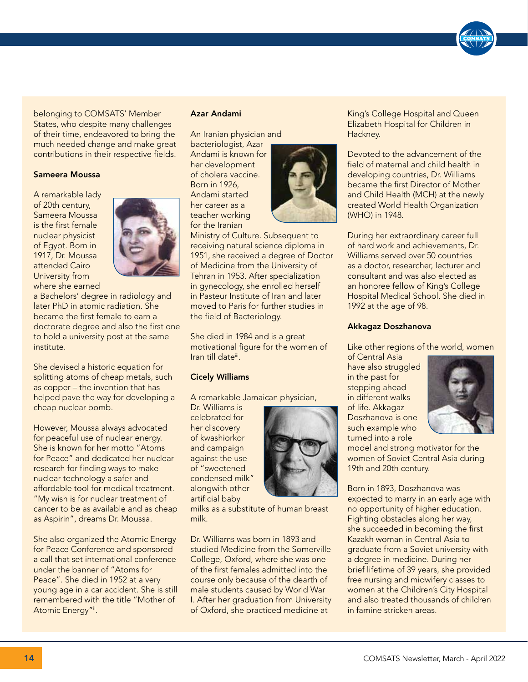belonging to COMSATS' Member States, who despite many challenges of their time, endeavored to bring the much needed change and make great contributions in their respective fields.

#### Sameera Moussa

A remarkable lady of 20th century, Sameera Moussa is the first female nuclear physicist of Egypt. Born in 1917, Dr. Moussa attended Cairo University from where she earned



a Bachelors' degree in radiology and later PhD in atomic radiation. She became the first female to earn a doctorate degree and also the first one to hold a university post at the same institute.

She devised a historic equation for splitting atoms of cheap metals, such as copper – the invention that has helped pave the way for developing a cheap nuclear bomb.

However, Moussa always advocated for peaceful use of nuclear energy. She is known for her motto "Atoms for Peace" and dedicated her nuclear research for finding ways to make nuclear technology a safer and affordable tool for medical treatment. "My wish is for nuclear treatment of cancer to be as available and as cheap as Aspirin", dreams Dr. Moussa.

She also organized the Atomic Energy for Peace Conference and sponsored a call that set international conference under the banner of "Atoms for Peace". She died in 1952 at a very young age in a car accident. She is still remembered with the title "Mother of Atomic Energy"ii.

#### Azar Andami

An Iranian physician and bacteriologist, Azar Andami is known for her development of cholera vaccine. Born in 1926, Andami started her career as a teacher working for the Iranian



Ministry of Culture. Subsequent to receiving natural science diploma in 1951, she received a degree of Doctor of Medicine from the University of Tehran in 1953. After specialization in gynecology, she enrolled herself in Pasteur Institute of Iran and later moved to Paris for further studies in the field of Bacteriology.

She died in 1984 and is a great motivational figure for the women of Iran till dateii.

#### Cicely Williams

A remarkable Jamaican physician,

Dr. Williams is celebrated for her discovery of kwashiorkor and campaign against the use of "sweetened condensed milk" alongwith other artificial baby



milks as a substitute of human breast milk.

Dr. Williams was born in 1893 and studied Medicine from the Somerville College, Oxford, where she was one of the first females admitted into the course only because of the dearth of male students caused by World War I. After her graduation from University of Oxford, she practiced medicine at

King's College Hospital and Queen Elizabeth Hospital for Children in Hackney.

Devoted to the advancement of the field of maternal and child health in developing countries, Dr. Williams became the first Director of Mother and Child Health (MCH) at the newly created World Health Organization (WHO) in 1948.

During her extraordinary career full of hard work and achievements, Dr. Williams served over 50 countries as a doctor, researcher, lecturer and consultant and was also elected as an honoree fellow of King's College Hospital Medical School. She died in 1992 at the age of 98.

#### Akkagaz Doszhanova

Like other regions of the world, women

of Central Asia have also struggled in the past for stepping ahead in different walks of life. Akkagaz Doszhanova is one such example who turned into a role



model and strong motivator for the women of Soviet Central Asia during 19th and 20th century.

Born in 1893, Doszhanova was expected to marry in an early age with no opportunity of higher education. Fighting obstacles along her way, she succeeded in becoming the first Kazakh woman in Central Asia to graduate from a Soviet university with a degree in medicine. During her brief lifetime of 39 years, she provided free nursing and midwifery classes to women at the Children's City Hospital and also treated thousands of children in famine stricken areas.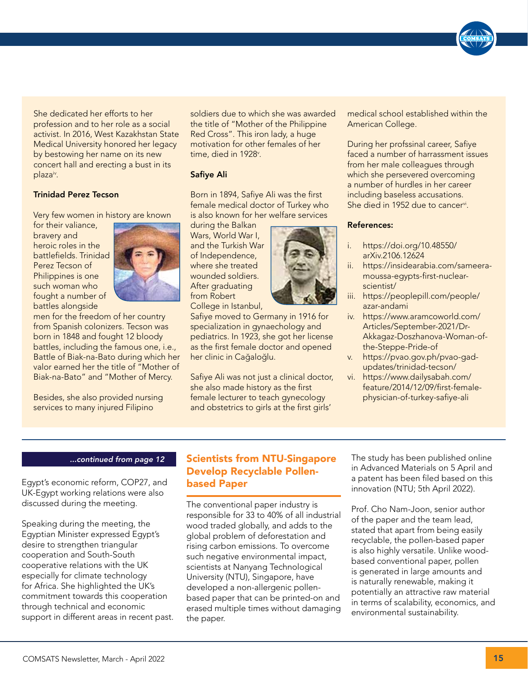She dedicated her efforts to her profession and to her role as a social activist. In 2016, West Kazakhstan State Medical University honored her legacy by bestowing her name on its new concert hall and erecting a bust in its plazaiv.

#### Trinidad Perez Tecson

Very few women in history are known

for their valiance, bravery and heroic roles in the battlefields. Trinidad Perez Tecson of Philippines is one such woman who fought a number of battles alongside



men for the freedom of her country from Spanish colonizers. Tecson was born in 1848 and fought 12 bloody battles, including the famous one, i.e., Battle of Biak-na-Bato during which her valor earned her the title of "Mother of Biak-na-Bato" and "Mother of Mercy.

Besides, she also provided nursing services to many injured Filipino

soldiers due to which she was awarded the title of "Mother of the Philippine Red Cross". This iron lady, a huge motivation for other females of her time, died in 1928<sup>v</sup>.

#### Safiye Ali

Born in 1894, Safiye Ali was the first female medical doctor of Turkey who is also known for her welfare services

during the Balkan Wars, World War I, and the Turkish War of Independence, where she treated wounded soldiers. After graduating from Robert College in Istanbul,

Safiye moved to Germany in 1916 for specialization in gynaechology and pediatrics. In 1923, she got her license as the first female doctor and opened her clinic in Cağaloğlu.

Safiye Ali was not just a clinical doctor, she also made history as the first female lecturer to teach gynecology and obstetrics to girls at the first girls'

medical school established within the American College.

During her profssinal career, Safiye faced a number of harrassment issues from her male colleagues through which she persevered overcoming a number of hurdles in her career including baseless accusations. She died in 1952 due to cancer<sup>vi</sup>.

#### References:

- i. https://doi.org/10.48550/ arXiv.2106.12624
- ii. https://insidearabia.com/sameeramoussa-egypts-first-nuclearscientist/
- iii. https://peoplepill.com/people/ azar-andami
- iv. https://www.aramcoworld.com/ Articles/September-2021/Dr-Akkagaz-Doszhanova-Woman-ofthe-Steppe-Pride-of
- v. https://pvao.gov.ph/pvao-gadupdates/trinidad-tecson/
- vi. https://www.dailysabah.com/ feature/2014/12/09/first-femalephysician-of-turkey-safiye-ali

#### *...continued from page 12*

Egypt's economic reform, COP27, and UK-Egypt working relations were also discussed during the meeting.

Speaking during the meeting, the Egyptian Minister expressed Egypt's desire to strengthen triangular cooperation and South-South cooperative relations with the UK especially for climate technology for Africa. She highlighted the UK's commitment towards this cooperation through technical and economic support in different areas in recent past.

### Scientists from NTU-Singapore Develop Recyclable Pollenbased Paper

The conventional paper industry is responsible for 33 to 40% of all industrial wood traded globally, and adds to the global problem of deforestation and rising carbon emissions. To overcome such negative environmental impact, scientists at Nanyang Technological University (NTU), Singapore, have developed a non-allergenic pollenbased paper that can be printed-on and erased multiple times without damaging the paper.

The study has been published online in Advanced Materials on 5 April and a patent has been filed based on this innovation (NTU; 5th April 2022).

Prof. Cho Nam-Joon, senior author of the paper and the team lead, stated that apart from being easily recyclable, the pollen-based paper is also highly versatile. Unlike woodbased conventional paper, pollen is generated in large amounts and is naturally renewable, making it potentially an attractive raw material in terms of scalability, economics, and environmental sustainability.